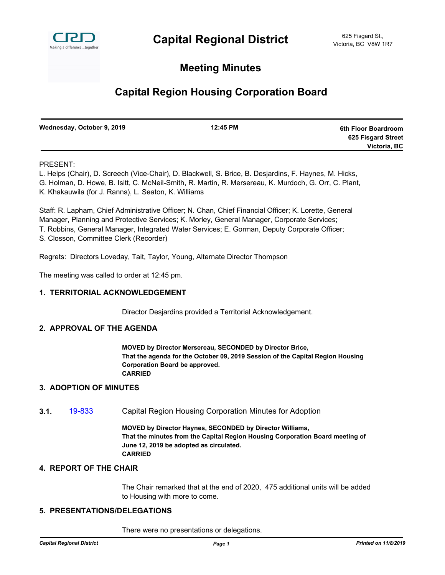

# **Meeting Minutes**

# **Capital Region Housing Corporation Board**

| Wednesday, October 9, 2019 | 12:45 PM | 6th Floor Boardroom |
|----------------------------|----------|---------------------|
|                            |          | 625 Fisgard Street  |
|                            |          | Victoria, BC        |

#### PRESENT:

L. Helps (Chair), D. Screech (Vice-Chair), D. Blackwell, S. Brice, B. Desjardins, F. Haynes, M. Hicks, G. Holman, D. Howe, B. Isitt, C. McNeil-Smith, R. Martin, R. Mersereau, K. Murdoch, G. Orr, C. Plant, K. Khakauwila (for J. Ranns), L. Seaton, K. Williams

Staff: R. Lapham, Chief Administrative Officer; N. Chan, Chief Financial Officer; K. Lorette, General Manager, Planning and Protective Services; K. Morley, General Manager, Corporate Services; T. Robbins, General Manager, Integrated Water Services; E. Gorman, Deputy Corporate Officer; S. Closson, Committee Clerk (Recorder)

Regrets: Directors Loveday, Tait, Taylor, Young, Alternate Director Thompson

The meeting was called to order at 12:45 pm.

#### **1. TERRITORIAL ACKNOWLEDGEMENT**

Director Desjardins provided a Territorial Acknowledgement.

#### **2. APPROVAL OF THE AGENDA**

**MOVED by Director Mersereau, SECONDED by Director Brice, That the agenda for the October 09, 2019 Session of the Capital Region Housing Corporation Board be approved. CARRIED**

#### **3. ADOPTION OF MINUTES**

**3.1.** [19-833](http://crd.ca.legistar.com/gateway.aspx?m=l&id=/matter.aspx?key=5927) Capital Region Housing Corporation Minutes for Adoption

**MOVED by Director Haynes, SECONDED by Director Williams, That the minutes from the Capital Region Housing Corporation Board meeting of June 12, 2019 be adopted as circulated. CARRIED**

### **4. REPORT OF THE CHAIR**

The Chair remarked that at the end of 2020, 475 additional units will be added to Housing with more to come.

## **5. PRESENTATIONS/DELEGATIONS**

There were no presentations or delegations.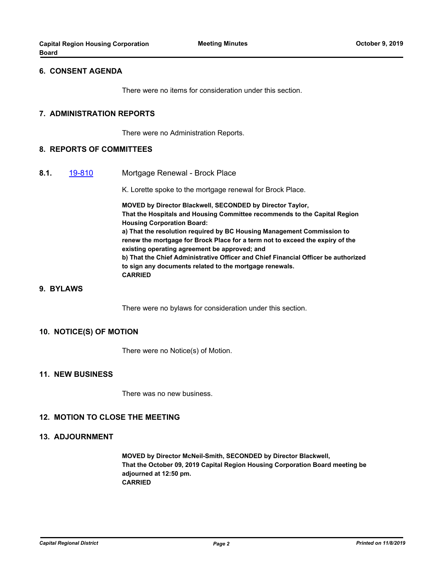#### **6. CONSENT AGENDA**

There were no items for consideration under this section.

#### **7. ADMINISTRATION REPORTS**

There were no Administration Reports.

#### **8. REPORTS OF COMMITTEES**

**8.1.** [19-810](http://crd.ca.legistar.com/gateway.aspx?m=l&id=/matter.aspx?key=5904) Mortgage Renewal - Brock Place

K. Lorette spoke to the mortgage renewal for Brock Place.

**MOVED by Director Blackwell, SECONDED by Director Taylor, That the Hospitals and Housing Committee recommends to the Capital Region Housing Corporation Board: a) That the resolution required by BC Housing Management Commission to renew the mortgage for Brock Place for a term not to exceed the expiry of the existing operating agreement be approved; and b) That the Chief Administrative Officer and Chief Financial Officer be authorized to sign any documents related to the mortgage renewals. CARRIED**

### **9. BYLAWS**

There were no bylaws for consideration under this section.

#### **10. NOTICE(S) OF MOTION**

There were no Notice(s) of Motion.

#### **11. NEW BUSINESS**

There was no new business.

#### **12. MOTION TO CLOSE THE MEETING**

#### **13. ADJOURNMENT**

**MOVED by Director McNeil-Smith, SECONDED by Director Blackwell, That the October 09, 2019 Capital Region Housing Corporation Board meeting be adjourned at 12:50 pm. CARRIED**